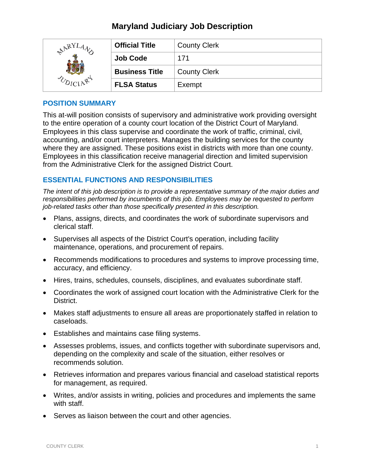# **Maryland Judiciary Job Description**

| <b>ARY</b> | <b>Official Title</b> | <b>County Clerk</b> |
|------------|-----------------------|---------------------|
|            | <b>Job Code</b>       | 171                 |
|            | <b>Business Title</b> | <b>County Clerk</b> |
|            | <b>FLSA Status</b>    | Exempt              |

# **POSITION SUMMARY**

This at-will position consists of supervisory and administrative work providing oversight to the entire operation of a county court location of the District Court of Maryland. Employees in this class supervise and coordinate the work of traffic, criminal, civil, accounting, and/or court interpreters. Manages the building services for the county where they are assigned. These positions exist in districts with more than one county. Employees in this classification receive managerial direction and limited supervision from the Administrative Clerk for the assigned District Court.

# **ESSENTIAL FUNCTIONS AND RESPONSIBILITIES**

*The intent of this job description is to provide a representative summary of the major duties and responsibilities performed by incumbents of this job. Employees may be requested to perform job-related tasks other than those specifically presented in this description.*

- Plans, assigns, directs, and coordinates the work of subordinate supervisors and clerical staff.
- Supervises all aspects of the District Court's operation, including facility maintenance, operations, and procurement of repairs.
- Recommends modifications to procedures and systems to improve processing time, accuracy, and efficiency.
- Hires, trains, schedules, counsels, disciplines, and evaluates subordinate staff.
- Coordinates the work of assigned court location with the Administrative Clerk for the District.
- Makes staff adjustments to ensure all areas are proportionately staffed in relation to caseloads.
- Establishes and maintains case filing systems.
- Assesses problems, issues, and conflicts together with subordinate supervisors and, depending on the complexity and scale of the situation, either resolves or recommends solution.
- Retrieves information and prepares various financial and caseload statistical reports for management, as required.
- Writes, and/or assists in writing, policies and procedures and implements the same with staff.
- Serves as liaison between the court and other agencies.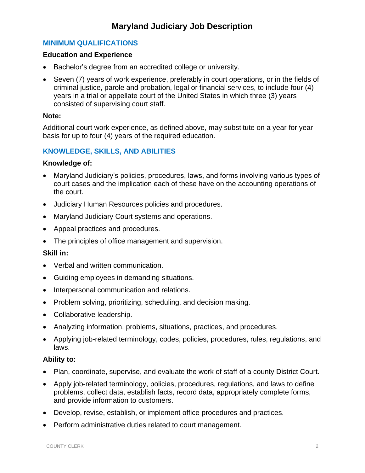# **MINIMUM QUALIFICATIONS**

## **Education and Experience**

- Bachelor's degree from an accredited college or university.
- Seven (7) years of work experience, preferably in court operations, or in the fields of criminal justice, parole and probation, legal or financial services, to include four (4) years in a trial or appellate court of the United States in which three (3) years consisted of supervising court staff.

## **Note:**

Additional court work experience, as defined above, may substitute on a year for year basis for up to four (4) years of the required education.

# **KNOWLEDGE, SKILLS, AND ABILITIES**

#### **Knowledge of:**

- Maryland Judiciary's policies, procedures, laws, and forms involving various types of court cases and the implication each of these have on the accounting operations of the court.
- Judiciary Human Resources policies and procedures.
- Maryland Judiciary Court systems and operations.
- Appeal practices and procedures.
- The principles of office management and supervision.

## **Skill in:**

- Verbal and written communication.
- Guiding employees in demanding situations.
- Interpersonal communication and relations.
- Problem solving, prioritizing, scheduling, and decision making.
- Collaborative leadership.
- Analyzing information, problems, situations, practices, and procedures.
- Applying job-related terminology, codes, policies, procedures, rules, regulations, and laws.

## **Ability to:**

- Plan, coordinate, supervise, and evaluate the work of staff of a county District Court.
- Apply job-related terminology, policies, procedures, regulations, and laws to define problems, collect data, establish facts, record data, appropriately complete forms, and provide information to customers.
- Develop, revise, establish, or implement office procedures and practices.
- Perform administrative duties related to court management.